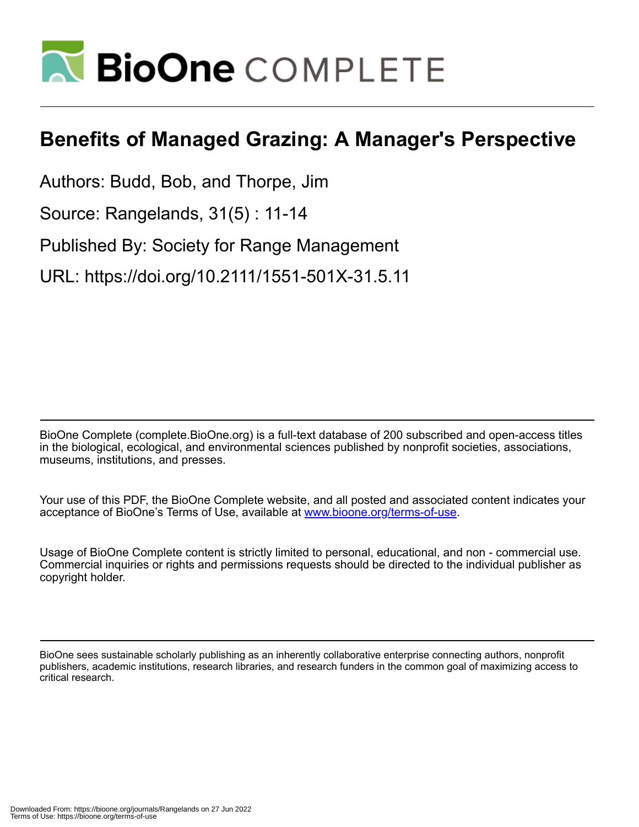

## **Benefits of Managed Grazing: A Manager's Perspective**

Authors: Budd, Bob, and Thorpe, Jim

Source: Rangelands, 31(5) : 11-14

Published By: Society for Range Management

URL: https://doi.org/10.2111/1551-501X-31.5.11

BioOne Complete (complete.BioOne.org) is a full-text database of 200 subscribed and open-access titles in the biological, ecological, and environmental sciences published by nonprofit societies, associations, museums, institutions, and presses.

Your use of this PDF, the BioOne Complete website, and all posted and associated content indicates your acceptance of BioOne's Terms of Use, available at www.bioone.org/terms-of-use.

Usage of BioOne Complete content is strictly limited to personal, educational, and non - commercial use. Commercial inquiries or rights and permissions requests should be directed to the individual publisher as copyright holder.

BioOne sees sustainable scholarly publishing as an inherently collaborative enterprise connecting authors, nonprofit publishers, academic institutions, research libraries, and research funders in the common goal of maximizing access to critical research.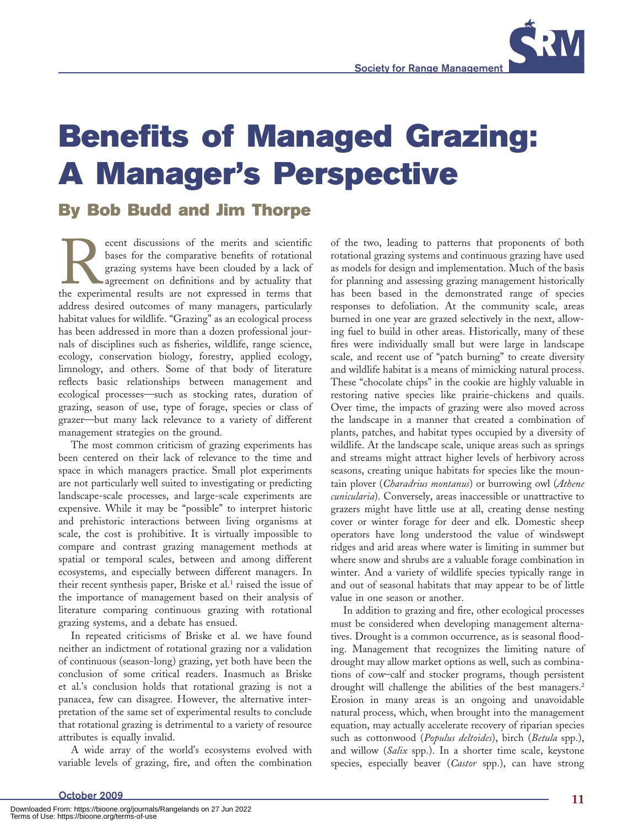

## **Benefits of Managed Grazing: A Manager's Perspective**

## **By Bob Budd and Jim Thorpe**

expect the experimental results are not expressed in terms that the experimental results are not expressed in terms that bases for the comparative benefits of rotational grazing systems have been clouded by a lack of agreement on definitions and by actuality that address desired outcomes of many managers, particularly habitat values for wildlife. "Grazing" as an ecological process has been addressed in more than a dozen professional journals of disciplines such as fisheries, wildlife, range science, ecology, conservation biology, forestry, applied ecology, limnology, and others. Some of that body of literature reflects basic relationships between management and ecological processes—such as stocking rates, duration of grazing, season of use, type of forage, species or class of grazer—but many lack relevance to a variety of different management strategies on the ground.

The most common criticism of grazing experiments has been centered on their lack of relevance to the time and space in which managers practice. Small plot experiments are not particularly well suited to investigating or predicting landscape-scale processes, and large-scale experiments are expensive. While it may be "possible" to interpret historic and prehistoric interactions between living organisms at scale, the cost is prohibitive. It is virtually impossible to compare and contrast grazing management methods at spatial or temporal scales, between and among different ecosystems, and especially between different managers. In their recent synthesis paper, Briske et al.<sup>1</sup> raised the issue of the importance of management based on their analysis of literature comparing continuous grazing with rotational grazing systems, and a debate has ensued.

In repeated criticisms of Briske et al. we have found neither an indictment of rotational grazing nor a validation of continuous (season-long) grazing, yet both have been the conclusion of some critical readers. Inasmuch as Briske et al.'s conclusion holds that rotational grazing is not a panacea, few can disagree. However, the alternative interpretation of the same set of experimental results to conclude that rotational grazing is detrimental to a variety of resource attributes is equally invalid.

A wide array of the world's ecosystems evolved with variable levels of grazing, fire, and often the combination

of the two, leading to patterns that proponents of both rotational grazing systems and continuous grazing have used as models for design and implementation. Much of the basis for planning and assessing grazing management historically has been based in the demonstrated range of species responses to defoliation. At the community scale, areas burned in one year are grazed selectively in the next, allowing fuel to build in other areas. Historically, many of these fires were individually small but were large in landscape scale, and recent use of "patch burning" to create diversity and wildlife habitat is a means of mimicking natural process. These "chocolate chips" in the cookie are highly valuable in restoring native species like prairie-chickens and quails. Over time, the impacts of grazing were also moved across the landscape in a manner that created a combination of plants, patches, and habitat types occupied by a diversity of wildlife. At the landscape scale, unique areas such as springs and streams might attract higher levels of herbivory across seasons, creating unique habitats for species like the mountain plover (*Charadrius montanus*) or burrowing owl (*Athene cunicularia*). Conversely, areas inaccessible or unattractive to grazers might have little use at all, creating dense nesting cover or winter forage for deer and elk. Domestic sheep operators have long understood the value of windswept ridges and arid areas where water is limiting in summer but where snow and shrubs are a valuable forage combination in winter. And a variety of wildlife species typically range in and out of seasonal habitats that may appear to be of little value in one season or another.

In addition to grazing and fire, other ecological processes must be considered when developing management alternatives. Drought is a common occurrence, as is seasonal flooding. Management that recognizes the limiting nature of drought may allow market options as well, such as combinations of cow–calf and stocker programs, though persistent drought will challenge the abilities of the best managers.<sup>2</sup> Erosion in many areas is an ongoing and unavoidable natural process, which, when brought into the management equation, may actually accelerate recovery of riparian species such as cottonwood (*Populus deltoides*), birch (*Betula* spp.), and willow (*Salix* spp.). In a shorter time scale, keystone species, especially beaver (*Castor* spp.), can have strong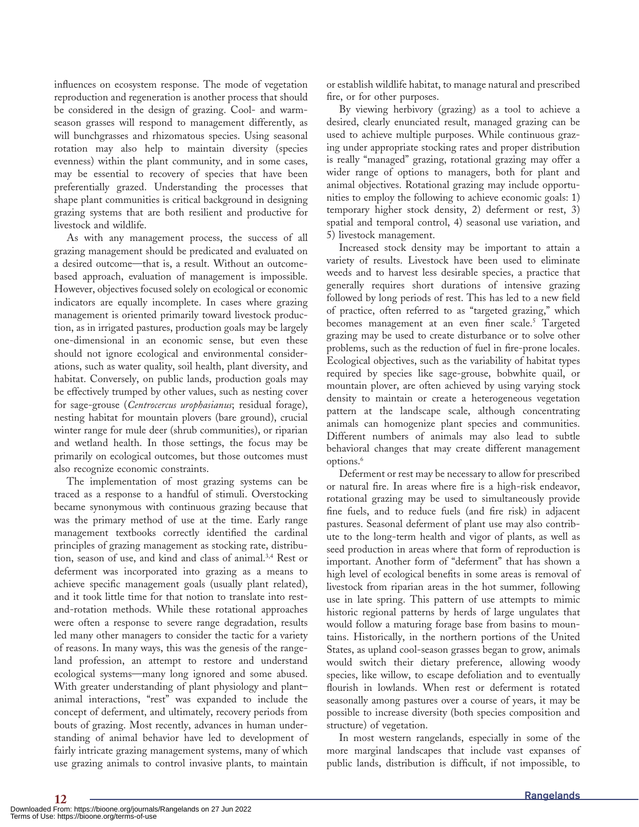influences on ecosystem response. The mode of vegetation reproduction and regeneration is another process that should be considered in the design of grazing. Cool- and warmseason grasses will respond to management differently, as will bunchgrasses and rhizomatous species. Using seasonal rotation may also help to maintain diversity (species evenness) within the plant community, and in some cases, may be essential to recovery of species that have been preferentially grazed. Understanding the processes that shape plant communities is critical background in designing grazing systems that are both resilient and productive for livestock and wildlife.

As with any management process, the success of all grazing management should be predicated and evaluated on a desired outcome—that is, a result. Without an outcomebased approach, evaluation of management is impossible. However, objectives focused solely on ecological or economic indicators are equally incomplete. In cases where grazing management is oriented primarily toward livestock production, as in irrigated pastures, production goals may be largely one-dimensional in an economic sense, but even these should not ignore ecological and environmental considerations, such as water quality, soil health, plant diversity, and habitat. Conversely, on public lands, production goals may be effectively trumped by other values, such as nesting cover for sage-grouse (*Centrocercus urophasianus*; residual forage), nesting habitat for mountain plovers (bare ground), crucial winter range for mule deer (shrub communities), or riparian and wetland health. In those settings, the focus may be primarily on ecological outcomes, but those outcomes must also recognize economic constraints.

The implementation of most grazing systems can be traced as a response to a handful of stimuli. Overstocking became synonymous with continuous grazing because that was the primary method of use at the time. Early range management textbooks correctly identified the cardinal principles of grazing management as stocking rate, distribution, season of use, and kind and class of animal.3,4 Rest or deferment was incorporated into grazing as a means to achieve specific management goals (usually plant related), and it took little time for that notion to translate into restand-rotation methods. While these rotational approaches were often a response to severe range degradation, results led many other managers to consider the tactic for a variety of reasons. In many ways, this was the genesis of the rangeland profession, an attempt to restore and understand ecological systems—many long ignored and some abused. With greater understanding of plant physiology and plant– animal interactions, "rest" was expanded to include the concept of deferment, and ultimately, recovery periods from bouts of grazing. Most recently, advances in human understanding of animal behavior have led to development of fairly intricate grazing management systems, many of which use grazing animals to control invasive plants, to maintain

or establish wildlife habitat, to manage natural and prescribed fire, or for other purposes.

By viewing herbivory (grazing) as a tool to achieve a desired, clearly enunciated result, managed grazing can be used to achieve multiple purposes. While continuous grazing under appropriate stocking rates and proper distribution is really "managed" grazing, rotational grazing may offer a wider range of options to managers, both for plant and animal objectives. Rotational grazing may include opportunities to employ the following to achieve economic goals: 1) temporary higher stock density, 2) deferment or rest, 3) spatial and temporal control, 4) seasonal use variation, and 5) livestock management.

Increased stock density may be important to attain a variety of results. Livestock have been used to eliminate weeds and to harvest less desirable species, a practice that generally requires short durations of intensive grazing followed by long periods of rest. This has led to a new field of practice, often referred to as "targeted grazing," which becomes management at an even finer scale.<sup>5</sup> Targeted grazing may be used to create disturbance or to solve other problems, such as the reduction of fuel in fire-prone locales. Ecological objectives, such as the variability of habitat types required by species like sage-grouse, bobwhite quail, or mountain plover, are often achieved by using varying stock density to maintain or create a heterogeneous vegetation pattern at the landscape scale, although concentrating animals can homogenize plant species and communities. Different numbers of animals may also lead to subtle behavioral changes that may create different management options.6

Deferment or rest may be necessary to allow for prescribed or natural fire. In areas where fire is a high-risk endeavor, rotational grazing may be used to simultaneously provide fine fuels, and to reduce fuels (and fire risk) in adjacent pastures. Seasonal deferment of plant use may also contribute to the long-term health and vigor of plants, as well as seed production in areas where that form of reproduction is important. Another form of "deferment" that has shown a high level of ecological benefits in some areas is removal of livestock from riparian areas in the hot summer, following use in late spring. This pattern of use attempts to mimic historic regional patterns by herds of large ungulates that would follow a maturing forage base from basins to mountains. Historically, in the northern portions of the United States, as upland cool-season grasses began to grow, animals would switch their dietary preference, allowing woody species, like willow, to escape defoliation and to eventually flourish in lowlands. When rest or deferment is rotated seasonally among pastures over a course of years, it may be possible to increase diversity (both species composition and structure) of vegetation.

In most western rangelands, especially in some of the more marginal landscapes that include vast expanses of public lands, distribution is difficult, if not impossible, to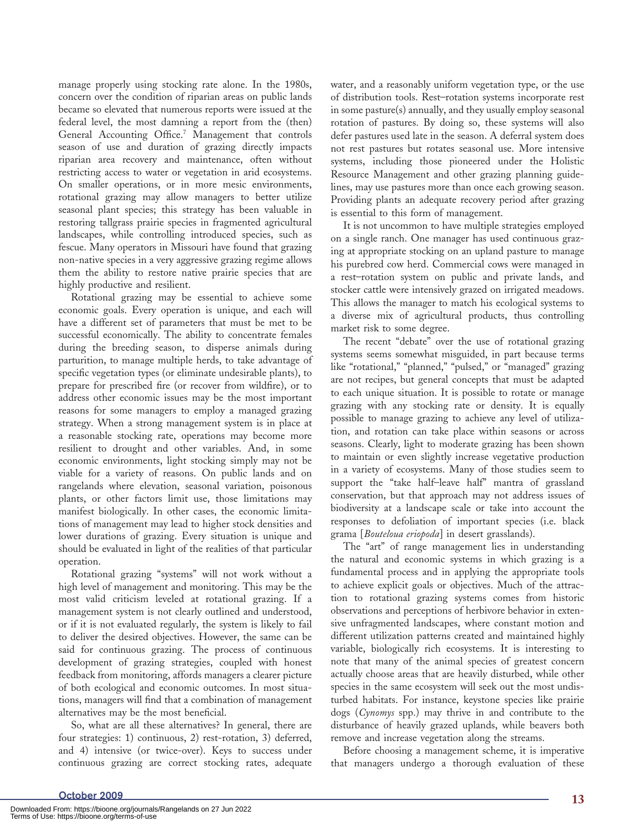manage properly using stocking rate alone. In the 1980s, concern over the condition of riparian areas on public lands became so elevated that numerous reports were issued at the federal level, the most damning a report from the (then) General Accounting Office.<sup>7</sup> Management that controls season of use and duration of grazing directly impacts riparian area recovery and maintenance, often without restricting access to water or vegetation in arid ecosystems. On smaller operations, or in more mesic environments, rotational grazing may allow managers to better utilize seasonal plant species; this strategy has been valuable in restoring tallgrass prairie species in fragmented agricultural landscapes, while controlling introduced species, such as fescue. Many operators in Missouri have found that grazing non-native species in a very aggressive grazing regime allows them the ability to restore native prairie species that are highly productive and resilient.

Rotational grazing may be essential to achieve some economic goals. Every operation is unique, and each will have a different set of parameters that must be met to be successful economically. The ability to concentrate females during the breeding season, to disperse animals during parturition, to manage multiple herds, to take advantage of specific vegetation types (or eliminate undesirable plants), to prepare for prescribed fire (or recover from wildfire), or to address other economic issues may be the most important reasons for some managers to employ a managed grazing strategy. When a strong management system is in place at a reasonable stocking rate, operations may become more resilient to drought and other variables. And, in some economic environments, light stocking simply may not be viable for a variety of reasons. On public lands and on rangelands where elevation, seasonal variation, poisonous plants, or other factors limit use, those limitations may manifest biologically. In other cases, the economic limitations of management may lead to higher stock densities and lower durations of grazing. Every situation is unique and should be evaluated in light of the realities of that particular operation.

Rotational grazing "systems" will not work without a high level of management and monitoring. This may be the most valid criticism leveled at rotational grazing. If a management system is not clearly outlined and understood, or if it is not evaluated regularly, the system is likely to fail to deliver the desired objectives. However, the same can be said for continuous grazing. The process of continuous development of grazing strategies, coupled with honest feedback from monitoring, affords managers a clearer picture of both ecological and economic outcomes. In most situations, managers will find that a combination of management alternatives may be the most beneficial.

So, what are all these alternatives? In general, there are four strategies: 1) continuous, 2) rest-rotation, 3) deferred, and 4) intensive (or twice-over). Keys to success under continuous grazing are correct stocking rates, adequate

water, and a reasonably uniform vegetation type, or the use of distribution tools. Rest–rotation systems incorporate rest in some pasture(s) annually, and they usually employ seasonal rotation of pastures. By doing so, these systems will also defer pastures used late in the season. A deferral system does not rest pastures but rotates seasonal use. More intensive systems, including those pioneered under the Holistic Resource Management and other grazing planning guidelines, may use pastures more than once each growing season. Providing plants an adequate recovery period after grazing is essential to this form of management.

It is not uncommon to have multiple strategies employed on a single ranch. One manager has used continuous grazing at appropriate stocking on an upland pasture to manage his purebred cow herd. Commercial cows were managed in a rest–rotation system on public and private lands, and stocker cattle were intensively grazed on irrigated meadows. This allows the manager to match his ecological systems to a diverse mix of agricultural products, thus controlling market risk to some degree.

The recent "debate" over the use of rotational grazing systems seems somewhat misguided, in part because terms like "rotational," "planned," "pulsed," or "managed" grazing are not recipes, but general concepts that must be adapted to each unique situation. It is possible to rotate or manage grazing with any stocking rate or density. It is equally possible to manage grazing to achieve any level of utilization, and rotation can take place within seasons or across seasons. Clearly, light to moderate grazing has been shown to maintain or even slightly increase vegetative production in a variety of ecosystems. Many of those studies seem to support the "take half–leave half" mantra of grassland conservation, but that approach may not address issues of biodiversity at a landscape scale or take into account the responses to defoliation of important species (i.e. black grama [*Bouteloua eriopoda*] in desert grasslands).

The "art" of range management lies in understanding the natural and economic systems in which grazing is a fundamental process and in applying the appropriate tools to achieve explicit goals or objectives. Much of the attraction to rotational grazing systems comes from historic observations and perceptions of herbivore behavior in extensive unfragmented landscapes, where constant motion and different utilization patterns created and maintained highly variable, biologically rich ecosystems. It is interesting to note that many of the animal species of greatest concern actually choose areas that are heavily disturbed, while other species in the same ecosystem will seek out the most undisturbed habitats. For instance, keystone species like prairie dogs (*Cynomys* spp.) may thrive in and contribute to the disturbance of heavily grazed uplands, while beavers both remove and increase vegetation along the streams.

Before choosing a management scheme, it is imperative that managers undergo a thorough evaluation of these